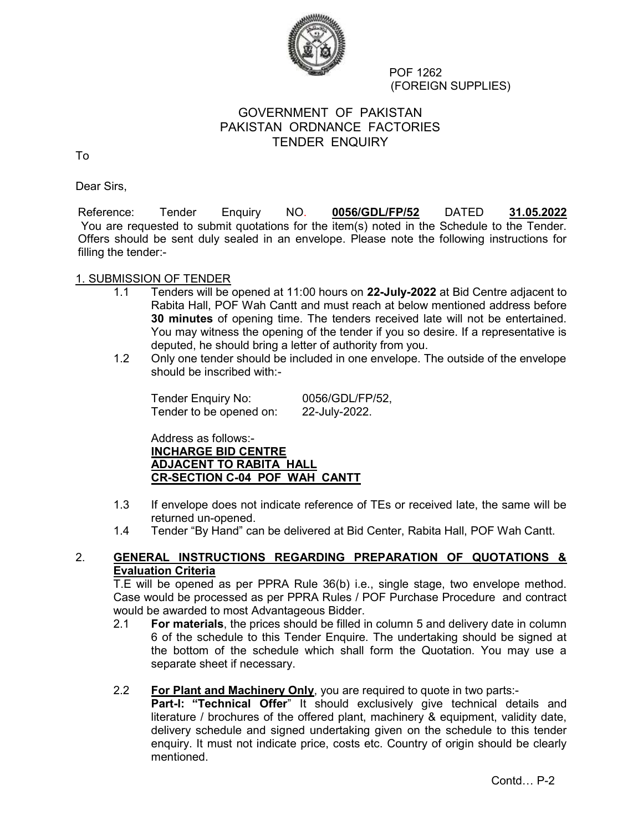

 POF 1262 (FOREIGN SUPPLIES)

# GOVERNMENT OF PAKISTAN PAKISTAN ORDNANCE FACTORIES TENDER ENQUIRY

To

Dear Sirs,

Reference: Tender Enquiry NO. 0056/GDL/FP/52 DATED 31.05.2022 You are requested to submit quotations for the item(s) noted in the Schedule to the Tender. Offers should be sent duly sealed in an envelope. Please note the following instructions for filling the tender:-

## 1. SUBMISSION OF TENDER

- 1.1 Tenders will be opened at 11:00 hours on 22-July-2022 at Bid Centre adjacent to Rabita Hall, POF Wah Cantt and must reach at below mentioned address before 30 minutes of opening time. The tenders received late will not be entertained. You may witness the opening of the tender if you so desire. If a representative is deputed, he should bring a letter of authority from you.
- 1.2 Only one tender should be included in one envelope. The outside of the envelope should be inscribed with:-

Tender Enquiry No: 0056/GDL/FP/52, Tender to be opened on: 22-July-2022.

Address as follows:- INCHARGE BID CENTRE ADJACENT TO RABITA HALL CR-SECTION C-04 POF WAH CANTT

- 1.3 If envelope does not indicate reference of TEs or received late, the same will be returned un-opened.
- 1.4 Tender "By Hand" can be delivered at Bid Center, Rabita Hall, POF Wah Cantt.

## 2. GENERAL INSTRUCTIONS REGARDING PREPARATION OF QUOTATIONS & Evaluation Criteria

T.E will be opened as per PPRA Rule 36(b) i.e., single stage, two envelope method. Case would be processed as per PPRA Rules / POF Purchase Procedure and contract would be awarded to most Advantageous Bidder.

- 2.1 For materials, the prices should be filled in column 5 and delivery date in column 6 of the schedule to this Tender Enquire. The undertaking should be signed at the bottom of the schedule which shall form the Quotation. You may use a separate sheet if necessary.
- 2.2 For Plant and Machinery Only, you are required to quote in two parts:-

Part-I: "Technical Offer" It should exclusively give technical details and literature / brochures of the offered plant, machinery & equipment, validity date, delivery schedule and signed undertaking given on the schedule to this tender enquiry. It must not indicate price, costs etc. Country of origin should be clearly mentioned.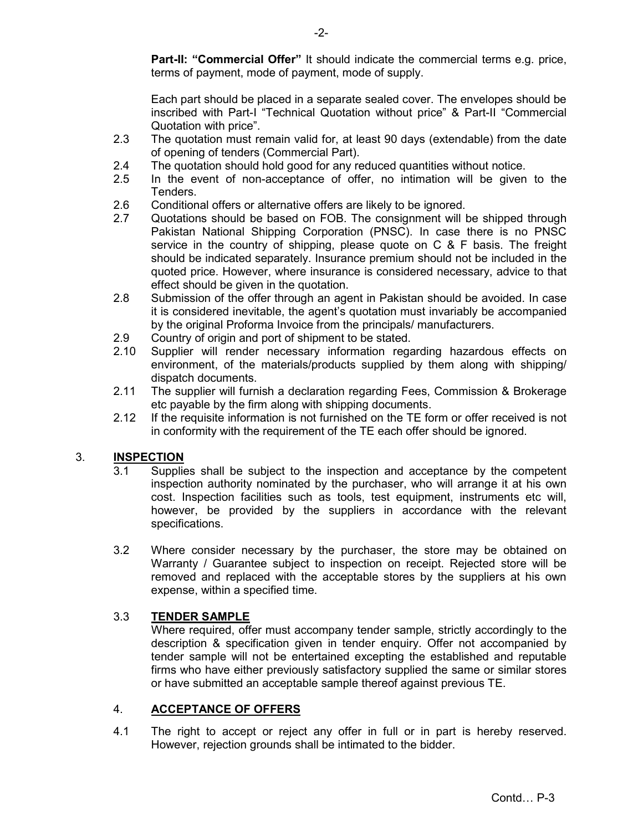Part-II: "Commercial Offer" It should indicate the commercial terms e.g. price, terms of payment, mode of payment, mode of supply.

Each part should be placed in a separate sealed cover. The envelopes should be inscribed with Part-I "Technical Quotation without price" & Part-II "Commercial Quotation with price".

- 2.3 The quotation must remain valid for, at least 90 days (extendable) from the date of opening of tenders (Commercial Part).
- 2.4 The quotation should hold good for any reduced quantities without notice.
- 2.5 In the event of non-acceptance of offer, no intimation will be given to the Tenders.
- 2.6 Conditional offers or alternative offers are likely to be ignored.
- 2.7 Quotations should be based on FOB. The consignment will be shipped through Pakistan National Shipping Corporation (PNSC). In case there is no PNSC service in the country of shipping, please quote on C & F basis. The freight should be indicated separately. Insurance premium should not be included in the quoted price. However, where insurance is considered necessary, advice to that effect should be given in the quotation.
- 2.8 Submission of the offer through an agent in Pakistan should be avoided. In case it is considered inevitable, the agent's quotation must invariably be accompanied by the original Proforma Invoice from the principals/ manufacturers.
- 2.9 Country of origin and port of shipment to be stated.
- 2.10 Supplier will render necessary information regarding hazardous effects on environment, of the materials/products supplied by them along with shipping/ dispatch documents.
- 2.11 The supplier will furnish a declaration regarding Fees, Commission & Brokerage etc payable by the firm along with shipping documents.
- 2.12 If the requisite information is not furnished on the TE form or offer received is not in conformity with the requirement of the TE each offer should be ignored.

# 3. **INSPECTION**<br>3.1 Supplies

- Supplies shall be subject to the inspection and acceptance by the competent inspection authority nominated by the purchaser, who will arrange it at his own cost. Inspection facilities such as tools, test equipment, instruments etc will, however, be provided by the suppliers in accordance with the relevant specifications.
- 3.2 Where consider necessary by the purchaser, the store may be obtained on Warranty / Guarantee subject to inspection on receipt. Rejected store will be removed and replaced with the acceptable stores by the suppliers at his own expense, within a specified time.

#### 3.3 TENDER SAMPLE

 Where required, offer must accompany tender sample, strictly accordingly to the description & specification given in tender enquiry. Offer not accompanied by tender sample will not be entertained excepting the established and reputable firms who have either previously satisfactory supplied the same or similar stores or have submitted an acceptable sample thereof against previous TE.

## 4. ACCEPTANCE OF OFFERS

4.1 The right to accept or reject any offer in full or in part is hereby reserved. However, rejection grounds shall be intimated to the bidder.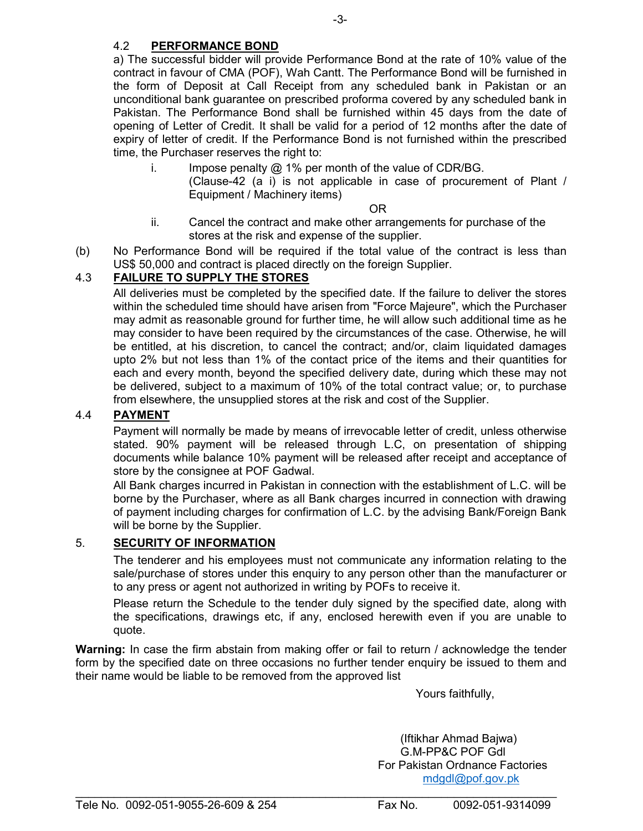# 4.2 PERFORMANCE BOND

a) The successful bidder will provide Performance Bond at the rate of 10% value of the contract in favour of CMA (POF), Wah Cantt. The Performance Bond will be furnished in the form of Deposit at Call Receipt from any scheduled bank in Pakistan or an unconditional bank guarantee on prescribed proforma covered by any scheduled bank in Pakistan. The Performance Bond shall be furnished within 45 days from the date of opening of Letter of Credit. It shall be valid for a period of 12 months after the date of expiry of letter of credit. If the Performance Bond is not furnished within the prescribed time, the Purchaser reserves the right to:

i. Impose penalty  $\omega$  1% per month of the value of CDR/BG. (Clause-42 (a i) is not applicable in case of procurement of Plant / Equipment / Machinery items)

OR

- ii. Cancel the contract and make other arrangements for purchase of the stores at the risk and expense of the supplier.
- (b) No Performance Bond will be required if the total value of the contract is less than US\$ 50,000 and contract is placed directly on the foreign Supplier.

# 4.3 FAILURE TO SUPPLY THE STORES

All deliveries must be completed by the specified date. If the failure to deliver the stores within the scheduled time should have arisen from "Force Majeure", which the Purchaser may admit as reasonable ground for further time, he will allow such additional time as he may consider to have been required by the circumstances of the case. Otherwise, he will be entitled, at his discretion, to cancel the contract; and/or, claim liquidated damages upto 2% but not less than 1% of the contact price of the items and their quantities for each and every month, beyond the specified delivery date, during which these may not be delivered, subject to a maximum of 10% of the total contract value; or, to purchase from elsewhere, the unsupplied stores at the risk and cost of the Supplier.

## 4.4 PAYMENT

Payment will normally be made by means of irrevocable letter of credit, unless otherwise stated. 90% payment will be released through L.C, on presentation of shipping documents while balance 10% payment will be released after receipt and acceptance of store by the consignee at POF Gadwal.

All Bank charges incurred in Pakistan in connection with the establishment of L.C. will be borne by the Purchaser, where as all Bank charges incurred in connection with drawing of payment including charges for confirmation of L.C. by the advising Bank/Foreign Bank will be borne by the Supplier.

## 5. SECURITY OF INFORMATION

The tenderer and his employees must not communicate any information relating to the sale/purchase of stores under this enquiry to any person other than the manufacturer or to any press or agent not authorized in writing by POFs to receive it.

Please return the Schedule to the tender duly signed by the specified date, along with the specifications, drawings etc, if any, enclosed herewith even if you are unable to quote.

Warning: In case the firm abstain from making offer or fail to return / acknowledge the tender form by the specified date on three occasions no further tender enquiry be issued to them and their name would be liable to be removed from the approved list

Yours faithfully,

 (Iftikhar Ahmad Bajwa) G.M-PP&C POF Gdl For Pakistan Ordnance Factories mdgdl@pof.gov.pk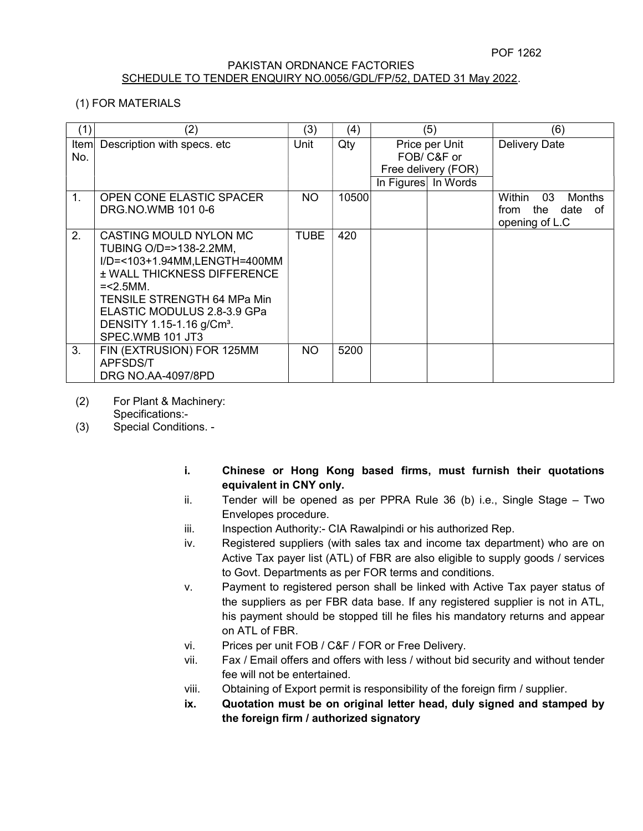#### PAKISTAN ORDNANCE FACTORIES SCHEDULE TO TENDER ENQUIRY NO.0056/GDL/FP/52, DATED 31 May 2022.

## (1) FOR MATERIALS

| (1)                 | (2)                                                                                                                                                                                                                                                               | (3)  | (4)   | (5)                                                                         |  | (6)                                                                    |
|---------------------|-------------------------------------------------------------------------------------------------------------------------------------------------------------------------------------------------------------------------------------------------------------------|------|-------|-----------------------------------------------------------------------------|--|------------------------------------------------------------------------|
| <b>Iteml</b><br>No. | Description with specs. etc                                                                                                                                                                                                                                       | Unit | Qty   | Price per Unit<br>FOB/ C&F or<br>Free delivery (FOR)<br>In Figures In Words |  | <b>Delivery Date</b>                                                   |
| 1.                  | OPEN CONE ELASTIC SPACER<br>DRG.NO.WMB 101 0-6                                                                                                                                                                                                                    | NO.  | 10500 |                                                                             |  | 03<br>Within<br>Months<br>the<br>date<br>from<br>of.<br>opening of L.C |
| 2.                  | CASTING MOULD NYLON MC<br>TUBING O/D=>138-2.2MM,<br>I/D=<103+1.94MM,LENGTH=400MM<br><b>± WALL THICKNESS DIFFERENCE</b><br>$=< 2.5$ MM.<br>TENSILE STRENGTH 64 MPa Min<br>ELASTIC MODULUS 2.8-3.9 GPa<br>DENSITY 1.15-1.16 g/Cm <sup>3</sup> .<br>SPEC.WMB 101 JT3 | TUBE | 420   |                                                                             |  |                                                                        |
| 3.                  | FIN (EXTRUSION) FOR 125MM<br>APFSDS/T<br>DRG NO.AA-4097/8PD                                                                                                                                                                                                       | NO.  | 5200  |                                                                             |  |                                                                        |

(2) For Plant & Machinery:

Specifications:-

- (3) Special Conditions.
	- i. Chinese or Hong Kong based firms, must furnish their quotations equivalent in CNY only.
	- ii. Tender will be opened as per PPRA Rule 36 (b) i.e., Single Stage Two Envelopes procedure.
	- iii. Inspection Authority:- CIA Rawalpindi or his authorized Rep.
	- iv. Registered suppliers (with sales tax and income tax department) who are on Active Tax payer list (ATL) of FBR are also eligible to supply goods / services to Govt. Departments as per FOR terms and conditions.
	- v. Payment to registered person shall be linked with Active Tax payer status of the suppliers as per FBR data base. If any registered supplier is not in ATL, his payment should be stopped till he files his mandatory returns and appear on ATL of FBR.
	- vi. Prices per unit FOB / C&F / FOR or Free Delivery.
	- vii. Fax / Email offers and offers with less / without bid security and without tender fee will not be entertained.
	- viii. Obtaining of Export permit is responsibility of the foreign firm / supplier.
	- ix. Quotation must be on original letter head, duly signed and stamped by the foreign firm / authorized signatory